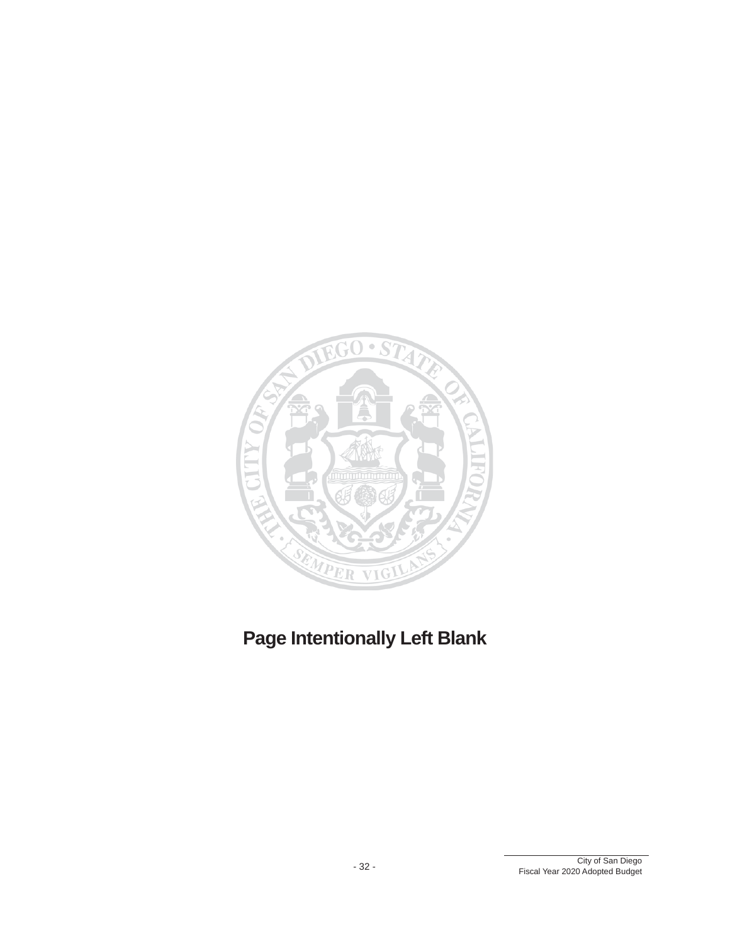

## **Page Intentionally Left Blank**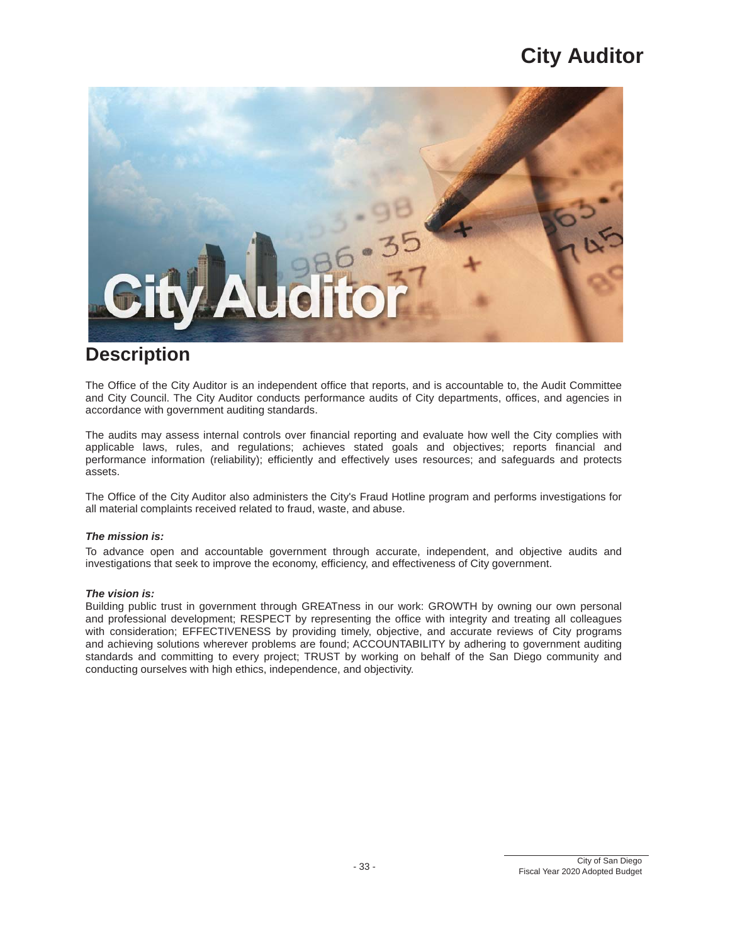

### **Description**

The Office of the City Auditor is an independent office that reports, and is accountable to, the Audit Committee and City Council. The City Auditor conducts performance audits of City departments, offices, and agencies in accordance with government auditing standards.

The audits may assess internal controls over financial reporting and evaluate how well the City complies with applicable laws, rules, and regulations; achieves stated goals and objectives; reports financial and performance information (reliability); efficiently and effectively uses resources; and safeguards and protects assets.

The Office of the City Auditor also administers the City's Fraud Hotline program and performs investigations for all material complaints received related to fraud, waste, and abuse.

#### *The mission is:*

To advance open and accountable government through accurate, independent, and objective audits and investigations that seek to improve the economy, efficiency, and effectiveness of City government.

#### *The vision is:*

Building public trust in government through GREATness in our work: GROWTH by owning our own personal and professional development; RESPECT by representing the office with integrity and treating all colleagues with consideration; EFFECTIVENESS by providing timely, objective, and accurate reviews of City programs and achieving solutions wherever problems are found; ACCOUNTABILITY by adhering to government auditing standards and committing to every project; TRUST by working on behalf of the San Diego community and conducting ourselves with high ethics, independence, and objectivity.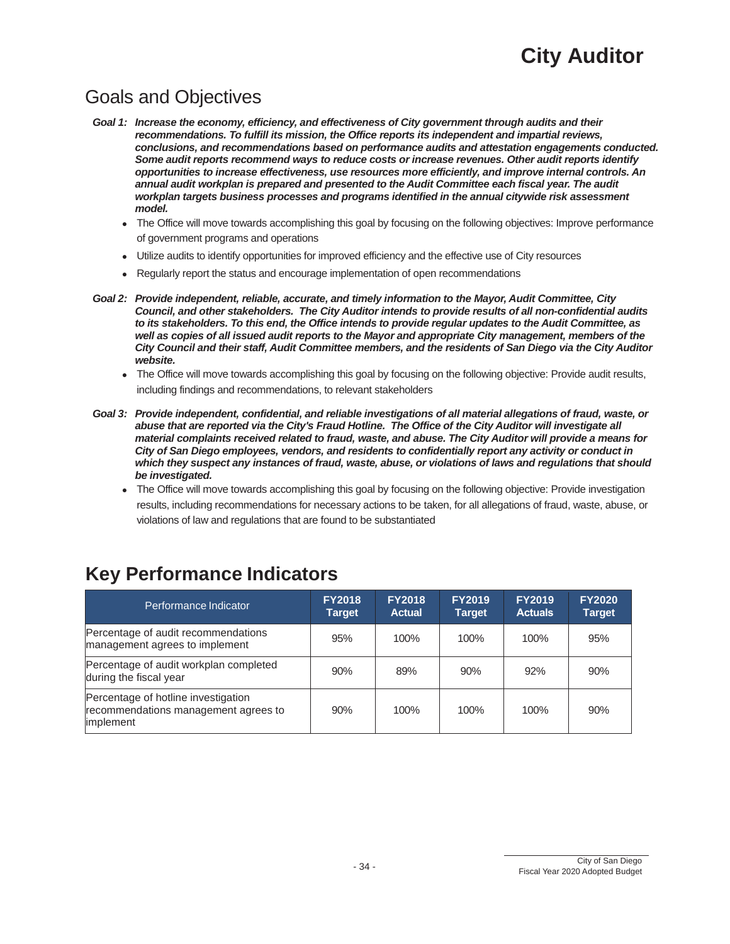### Goals and Objectives

- *Goal 1: Increase the economy, efficiency, and effectiveness of City government through audits and their recommendations. To fulfill its mission, the Office reports its independent and impartial reviews, conclusions, and recommendations based on performance audits and attestation engagements conducted. Some audit reports recommend ways to reduce costs or increase revenues. Other audit reports identify opportunities to increase effectiveness, use resources more efficiently, and improve internal controls. An annual audit workplan is prepared and presented to the Audit Committee each fiscal year. The audit workplan targets business processes and programs identified in the annual citywide risk assessment model.*
	- The Office will move towards accomplishing this goal by focusing on the following objectives: Improve performance of government programs and operations
	- Utilize audits to identify opportunities for improved efficiency and the effective use of City resources
	- Regularly report the status and encourage implementation of open recommendations
- *Goal 2: Provide independent, reliable, accurate, and timely information to the Mayor, Audit Committee, City Council, and other stakeholders. The City Auditor intends to provide results of all non-confidential audits to its stakeholders. To this end, the Office intends to provide regular updates to the Audit Committee, as well as copies of all issued audit reports to the Mayor and appropriate City management, members of the City Council and their staff, Audit Committee members, and the residents of San Diego via the City Auditor website.*
	- The Office will move towards accomplishing this goal by focusing on the following objective: Provide audit results, including findings and recommendations, to relevant stakeholders
- *Goal 3: Provide independent, confidential, and reliable investigations of all material allegations of fraud, waste, or abuse that are reported via the City's Fraud Hotline. The Office of the City Auditor will investigate all material complaints received related to fraud, waste, and abuse. The City Auditor will provide a means for City of San Diego employees, vendors, and residents to confidentially report any activity or conduct in which they suspect any instances of fraud, waste, abuse, or violations of laws and regulations that should be investigated.*
	- The Office will move towards accomplishing this goal by focusing on the following objective: Provide investigation results, including recommendations for necessary actions to be taken, for all allegations of fraud, waste, abuse, or violations of law and regulations that are found to be substantiated

| Performance Indicator                                                                           | <b>FY2018</b><br><b>Target</b> | <b>FY2018</b><br><b>Actual</b> | <b>FY2019</b><br><b>Target</b> | <b>FY2019</b><br><b>Actuals</b> | <b>FY2020</b><br><b>Target</b> |
|-------------------------------------------------------------------------------------------------|--------------------------------|--------------------------------|--------------------------------|---------------------------------|--------------------------------|
| Percentage of audit recommendations<br>management agrees to implement                           | 95%                            | 100%                           | 100%                           | 100%                            | 95%                            |
| Percentage of audit workplan completed<br>during the fiscal year                                | 90%                            | 89%                            | 90%                            | 92%                             | 90%                            |
| Percentage of hotline investigation<br>recommendations management agrees to<br><i>implement</i> | 90%                            | 100%                           | 100%                           | 100%                            | 90%                            |

### **Key Performance Indicators**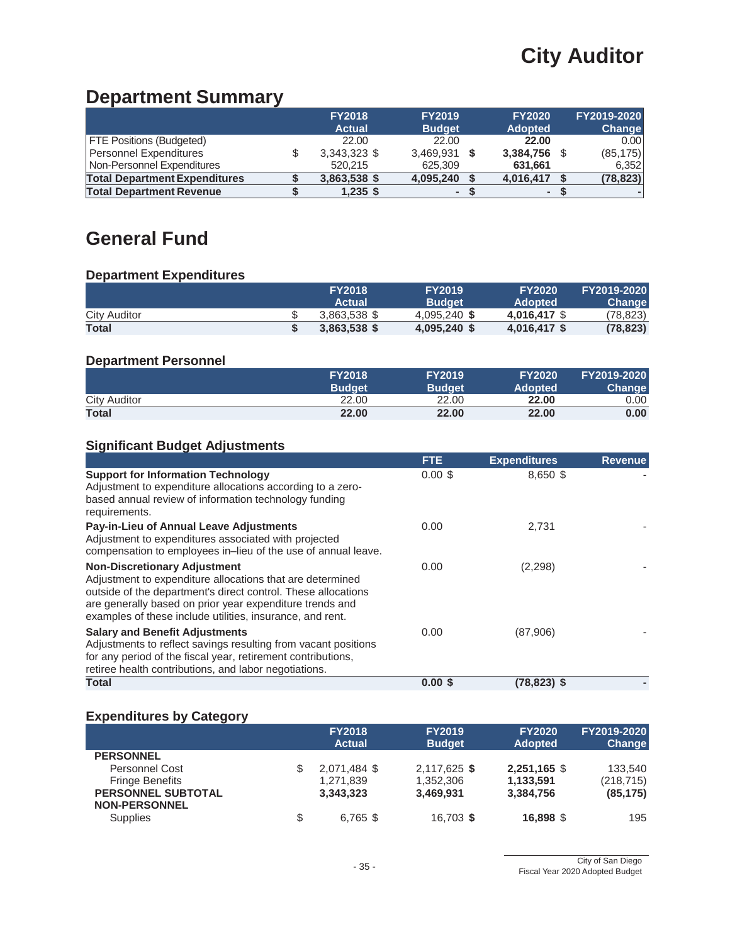### **Department Summary**

|                                      | <b>FY2018</b> | <b>FY2019</b> | <b>FY2020</b>  | FY2019-2020   |
|--------------------------------------|---------------|---------------|----------------|---------------|
|                                      | <b>Actual</b> | <b>Budget</b> | <b>Adopted</b> | <b>Change</b> |
| <b>FTE Positions (Budgeted)</b>      | 22.00         | 22.00         | 22.00          | 0.00          |
| Personnel Expenditures               | 3.343.323 \$  | 3.469.931     | 3.384.756 \$   | (85, 175)     |
| Non-Personnel Expenditures           | 520.215       | 625.309       | 631.661        | 6,352         |
| <b>Total Department Expenditures</b> | 3,863,538 \$  | 4,095,240     | 4,016,417      | (78, 823)     |
| <b>Total Department Revenue</b>      | $1,235$ \$    | ٠.            | ٠              |               |

### **General Fund**

#### **Department Expenditures**

|                     | <b>FY2018</b> | <b>FY2019</b> | <b>FY2020</b>  | FY2019-2020   |
|---------------------|---------------|---------------|----------------|---------------|
|                     | Actual        | <b>Budget</b> | <b>Adopted</b> | <b>Change</b> |
| <b>City Auditor</b> | 3.863.538 \$  | 4.095.240 \$  | 4.016.417 \$   | (78,823)      |
| <b>Total</b>        | 3,863,538 \$  | 4,095,240 \$  | 4.016.417 \$   | (78, 823)     |

#### **Department Personnel**

|                     | <b>FY2018</b><br><b>Budget</b> | <b>FY2019</b><br><b>Budget</b> | <b>FY2020</b><br><b>Adopted</b> | FY2019-2020<br><b>Change</b> |
|---------------------|--------------------------------|--------------------------------|---------------------------------|------------------------------|
| <b>City Auditor</b> | 22.00                          | 22.00                          | 22.00                           | 0.00                         |
| <b>Total</b>        | 22.00                          | 22.00                          | 22.00                           | 0.00                         |

### **Significant Budget Adjustments**

|                                                                                                                                                                                                                                                                                            | <b>FTE</b> | <b>Expenditures</b> | <b>Revenue</b> |
|--------------------------------------------------------------------------------------------------------------------------------------------------------------------------------------------------------------------------------------------------------------------------------------------|------------|---------------------|----------------|
| <b>Support for Information Technology</b><br>Adjustment to expenditure allocations according to a zero-<br>based annual review of information technology funding<br>requirements.                                                                                                          | $0.00$ \$  | 8,650 \$            |                |
| Pay-in-Lieu of Annual Leave Adjustments<br>Adjustment to expenditures associated with projected<br>compensation to employees in-lieu of the use of annual leave.                                                                                                                           | 0.00       | 2,731               |                |
| <b>Non-Discretionary Adjustment</b><br>Adjustment to expenditure allocations that are determined<br>outside of the department's direct control. These allocations<br>are generally based on prior year expenditure trends and<br>examples of these include utilities, insurance, and rent. | 0.00       | (2,298)             |                |
| <b>Salary and Benefit Adjustments</b><br>Adjustments to reflect savings resulting from vacant positions<br>for any period of the fiscal year, retirement contributions,<br>retiree health contributions, and labor negotiations.                                                           | 0.00       | (87,906)            |                |
| Total                                                                                                                                                                                                                                                                                      | $0.00$ \$  | $(78, 823)$ \$      |                |

### **Expenditures by Category**

| <b>FY2018</b><br><b>Actual</b> | <b>FY2019</b><br><b>Budget</b> | <b>FY2020</b><br><b>Adopted</b> | FY2019-2020<br><b>Change</b> |
|--------------------------------|--------------------------------|---------------------------------|------------------------------|
|                                |                                |                                 |                              |
| \$<br>2,071,484 \$             | 2,117,625 \$                   | 2,251,165 \$                    | 133,540                      |
| 1,271,839                      | 1,352,306                      | 1,133,591                       | (218, 715)                   |
| 3,343,323                      | 3,469,931                      | 3,384,756                       | (85, 175)                    |
|                                |                                |                                 |                              |
| \$<br>$6,765$ \$               | 16,703 \$                      | 16,898 \$                       | 195                          |
|                                |                                |                                 |                              |